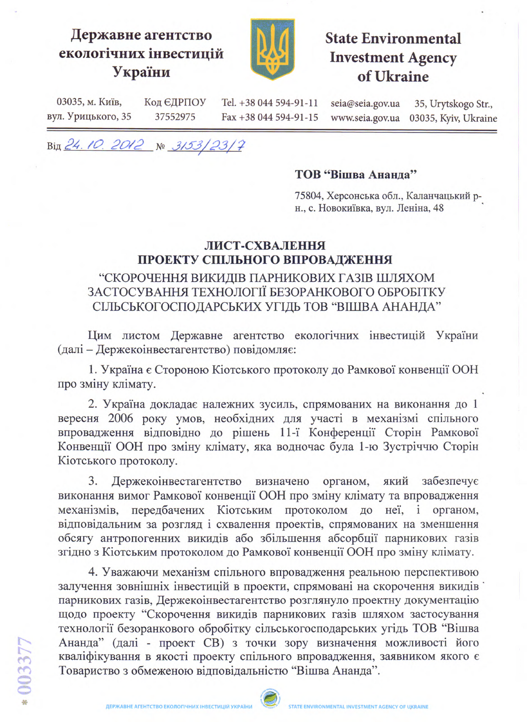# Державне агентство екологічних інвестицій України



# **State Environmental Investment Agency** of Ukraine

03035, м. Київ, Код ЄДРПОУ Tel. +38 044 594-91-11 seia@seia.gov.ua 35, Urytskogo Str., вул. Урицького, 35 37552975 Fax +38 044 594-91-15 www.seia.gov.ua 03035, Kyiv, Ukraine

Від 24.10.2012 № 3153/23/7

#### ТОВ "Вішва Ананда"

75804, Херсонська обл., Каланчацький рн., с. Новокиївка, вул. Леніна, 48

#### ЛИСТ-СХВАЛЕННЯ ПРОЕКТУ СПІЛЬНОГО ВПРОВАДЖЕННЯ

### "СКОРОЧЕННЯ ВИКИДІВ ПАРНИКОВИХ ГАЗІВ ШЛЯХОМ ЗАСТОСУВАННЯ ТЕХНОЛОГІЇ БЕЗОРАНКОВОГО ОБРОБІТКУ СІЛЬСЬКОГОСПОДАРСЬКИХ УГІДЬ ТОВ "ВІШВА АНАНДА"

Цим листом Державне агентство екологічних інвестицій України (далі - Держекоінвестагентство) повідомляє:

1. Україна є Стороною Кіотського протоколу до Рамкової конвенції ООН про зміну клімату.

2. Україна докладає належних зусиль, спрямованих на виконання до 1 вересня 2006 року умов, необхідних для участі в механізмі спільного впровадження відповідно до рішень 11-ї Конференції Сторін Рамкової Конвенції ООН про зміну клімату, яка водночас була 1-ю Зустріччю Сторін Кіотського протоколу.

3. Держекоінвестагентство визначено органом, який забезпечує виконання вимог Рамкової конвенції ООН про зміну клімату та впровадження механізмів, передбачених Кіотським протоколом до неї, і органом, відповідальним за розгляд і схвалення проектів, спрямованих на зменшення обсягу антропогенних викидів або збільшення абсорбції парникових газів згідно з Кіотським протоколом до Рамкової конвенції ООН про зміну клімату.

4. Уважаючи механізм спільного впровадження реальною перспективою залучення зовнішніх інвестицій в проекти, спрямовані на скорочення викидів парникових газів, Держекоінвестагентство розглянуло проектну документацію щодо проекту "Скорочення викидів парникових газів шляхом застосування технології безоранкового обробітку сільськогосподарських угідь ТОВ "Вішва Ананда" (далі - проект СВ) з точки зору визначення можливості його кваліфікування в якості проекту спільного впровадження, заявником якого є Товариство з обмеженою відповідальністю "Вішва Ананда".